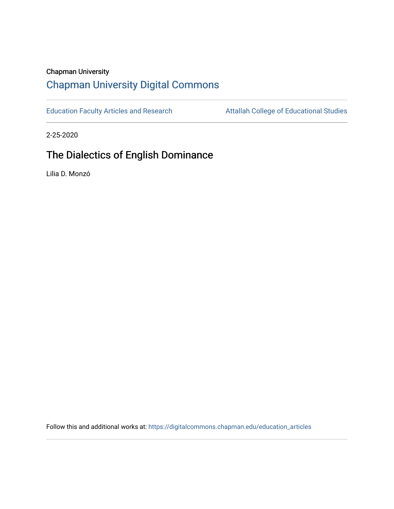### Chapman University

# [Chapman University Digital Commons](https://digitalcommons.chapman.edu/)

[Education Faculty Articles and Research](https://digitalcommons.chapman.edu/education_articles) **Attallah College of Educational Studies** 

2-25-2020

# The Dialectics of English Dominance

Lilia D. Monzó

Follow this and additional works at: [https://digitalcommons.chapman.edu/education\\_articles](https://digitalcommons.chapman.edu/education_articles?utm_source=digitalcommons.chapman.edu%2Feducation_articles%2F252&utm_medium=PDF&utm_campaign=PDFCoverPages)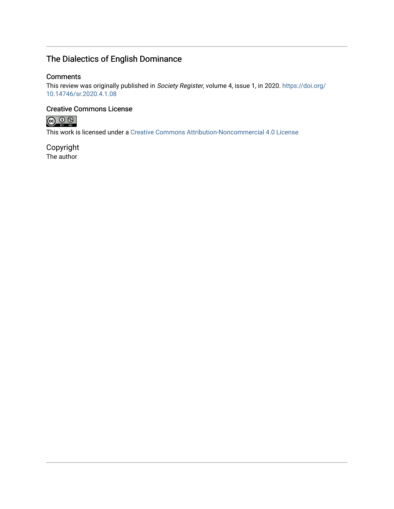## The Dialectics of English Dominance

### **Comments**

This review was originally published in Society Register, volume 4, issue 1, in 2020. [https://doi.org/](https://doi.org/10.14746/sr.2020.4.1.08) [10.14746/sr.2020.4.1.08](https://doi.org/10.14746/sr.2020.4.1.08)

### Creative Commons License



This work is licensed under a [Creative Commons Attribution-Noncommercial 4.0 License](https://creativecommons.org/licenses/by-nc/4.0/) 

Copyright The author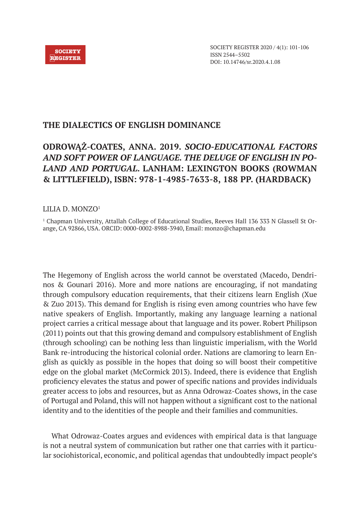

### **THE DIALECTICS OF ENGLISH DOMINANCE**

## **ODROWĄŻ-COATES, ANNA. 2019.** *SOCIO-EDUCATIONAL FACTORS AND SOFT POWER OF LANGUAGE. THE DELUGE OF ENGLISH IN PO-LAND AND PORTUGAL***. LANHAM: LEXINGTON BOOKS (ROWMAN & LITTLEFIELD), ISBN: 978-1-4985-7633-8, 188 PP. (HARDBACK)**

### LILIA D. MONZO1

1 Chapman University, Attallah College of Educational Studies, Reeves Hall 136 333 N Glassell St Orange, CA 92866, USA. ORCID: 0000-0002-8988-3940, Email: monzo@chapman.edu

The Hegemony of English across the world cannot be overstated (Macedo, Dendrinos & Gounari 2016). More and more nations are encouraging, if not mandating through compulsory education requirements, that their citizens learn English (Xue & Zuo 2013). This demand for English is rising even among countries who have few native speakers of English. Importantly, making any language learning a national project carries a critical message about that language and its power. Robert Philipson (2011) points out that this growing demand and compulsory establishment of English (through schooling) can be nothing less than linguistic imperialism, with the World Bank re-introducing the historical colonial order. Nations are clamoring to learn English as quickly as possible in the hopes that doing so will boost their competitive edge on the global market (McCormick 2013). Indeed, there is evidence that English proficiency elevates the status and power of specific nations and provides individuals greater access to jobs and resources, but as Anna Odrowaz-Coates shows, in the case of Portugal and Poland, this will not happen without a significant cost to the national identity and to the identities of the people and their families and communities.

What Odrowaz-Coates argues and evidences with empirical data is that language is not a neutral system of communication but rather one that carries with it particular sociohistorical, economic, and political agendas that undoubtedly impact people's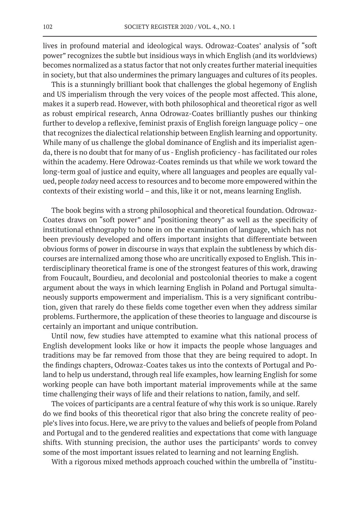lives in profound material and ideological ways. Odrowaz-Coates' analysis of "soft power" recognizes the subtle but insidious ways in which English (and its worldviews) becomes normalized as a status factor that not only creates further material inequities in society, but that also undermines the primary languages and cultures of its peoples.

This is a stunningly brilliant book that challenges the global hegemony of English and US imperialism through the very voices of the people most affected. This alone, makes it a superb read. However, with both philosophical and theoretical rigor as well as robust empirical research, Anna Odrowaz-Coates brilliantly pushes our thinking further to develop a reflexive, feminist praxis of English foreign language policy – one that recognizes the dialectical relationship between English learning and opportunity. While many of us challenge the global dominance of English and its imperialist agenda, there is no doubt that for many of us - English proficiency - has facilitated our roles within the academy. Here Odrowaz-Coates reminds us that while we work toward the long-term goal of justice and equity, where all languages and peoples are equally valued, people *today* need access to resources and to become more empowered within the contexts of their existing world – and this, like it or not, means learning English.

The book begins with a strong philosophical and theoretical foundation. Odrowaz-Coates draws on "soft power" and "positioning theory" as well as the specificity of institutional ethnography to hone in on the examination of language, which has not been previously developed and offers important insights that differentiate between obvious forms of power in discourse in ways that explain the subtleness by which discourses are internalized among those who are uncritically exposed to English. This interdisciplinary theoretical frame is one of the strongest features of this work, drawing from Foucault, Bourdieu, and decolonial and postcolonial theories to make a cogent argument about the ways in which learning English in Poland and Portugal simultaneously supports empowerment and imperialism. This is a very significant contribution, given that rarely do these fields come together even when they address similar problems. Furthermore, the application of these theories to language and discourse is certainly an important and unique contribution.

Until now, few studies have attempted to examine what this national process of English development looks like or how it impacts the people whose languages and traditions may be far removed from those that they are being required to adopt. In the findings chapters, Odrowaz-Coates takes us into the contexts of Portugal and Poland to help us understand, through real life examples, how learning English for some working people can have both important material improvements while at the same time challenging their ways of life and their relations to nation, family, and self.

The voices of participants are a central feature of why this work is so unique. Rarely do we find books of this theoretical rigor that also bring the concrete reality of people's lives into focus. Here, we are privy to the values and beliefs of people from Poland and Portugal and to the gendered realities and expectations that come with language shifts. With stunning precision, the author uses the participants' words to convey some of the most important issues related to learning and not learning English.

With a rigorous mixed methods approach couched within the umbrella of "institu-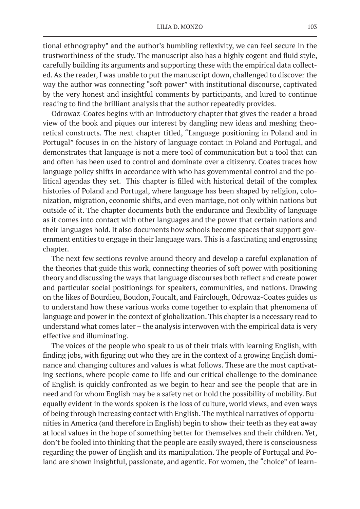tional ethnography" and the author's humbling reflexivity, we can feel secure in the trustworthiness of the study. The manuscript also has a highly cogent and fluid style, carefully building its arguments and supporting these with the empirical data collected. As the reader, I was unable to put the manuscript down, challenged to discover the way the author was connecting "soft power" with institutional discourse, captivated by the very honest and insightful comments by participants, and lured to continue reading to find the brilliant analysis that the author repeatedly provides.

Odrowaz-Coates begins with an introductory chapter that gives the reader a broad view of the book and piques our interest by dangling new ideas and meshing theoretical constructs. The next chapter titled, "Language positioning in Poland and in Portugal" focuses in on the history of language contact in Poland and Portugal, and demonstrates that language is not a mere tool of communication but a tool that can and often has been used to control and dominate over a citizenry. Coates traces how language policy shifts in accordance with who has governmental control and the political agendas they set. This chapter is filled with historical detail of the complex histories of Poland and Portugal, where language has been shaped by religion, colonization, migration, economic shifts, and even marriage, not only within nations but outside of it. The chapter documents both the endurance and flexibility of language as it comes into contact with other languages and the power that certain nations and their languages hold. It also documents how schools become spaces that support government entities to engage in their language wars. This is a fascinating and engrossing chapter.

The next few sections revolve around theory and develop a careful explanation of the theories that guide this work, connecting theories of soft power with positioning theory and discussing the ways that language discourses both reflect and create power and particular social positionings for speakers, communities, and nations. Drawing on the likes of Bourdieu, Boudon, Foucalt, and Fairclough, Odrowaz-Coates guides us to understand how these various works come together to explain that phenomena of language and power in the context of globalization. This chapter is a necessary read to understand what comes later – the analysis interwoven with the empirical data is very effective and illuminating.

The voices of the people who speak to us of their trials with learning English, with finding jobs, with figuring out who they are in the context of a growing English dominance and changing cultures and values is what follows. These are the most captivating sections, where people come to life and our critical challenge to the dominance of English is quickly confronted as we begin to hear and see the people that are in need and for whom English may be a safety net or hold the possibility of mobility. But equally evident in the words spoken is the loss of culture, world views, and even ways of being through increasing contact with English. The mythical narratives of opportunities in America (and therefore in English) begin to show their teeth as they eat away at local values in the hope of something better for themselves and their children. Yet, don't be fooled into thinking that the people are easily swayed, there is consciousness regarding the power of English and its manipulation. The people of Portugal and Poland are shown insightful, passionate, and agentic. For women, the "choice" of learn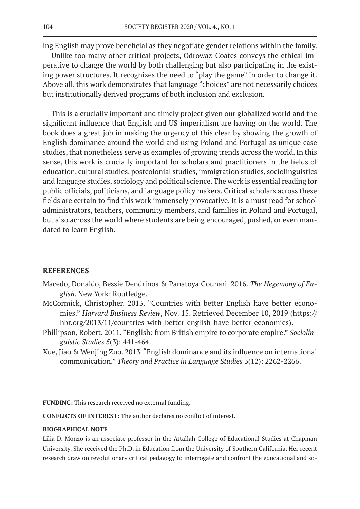ing English may prove beneficial as they negotiate gender relations within the family.

Unlike too many other critical projects, Odrowaz-Coates conveys the ethical imperative to change the world by both challenging but also participating in the existing power structures. It recognizes the need to "play the game" in order to change it. Above all, this work demonstrates that language "choices" are not necessarily choices but institutionally derived programs of both inclusion and exclusion.

This is a crucially important and timely project given our globalized world and the significant influence that English and US imperialism are having on the world. The book does a great job in making the urgency of this clear by showing the growth of English dominance around the world and using Poland and Portugal as unique case studies, that nonetheless serve as examples of growing trends across the world. In this sense, this work is crucially important for scholars and practitioners in the fields of education, cultural studies, postcolonial studies, immigration studies, sociolinguistics and language studies, sociology and political science. The work is essential reading for public officials, politicians, and language policy makers. Critical scholars across these fields are certain to find this work immensely provocative. It is a must read for school administrators, teachers, community members, and families in Poland and Portugal, but also across the world where students are being encouraged, pushed, or even mandated to learn English.

#### **REFERENCES**

- Macedo, Donaldo, Bessie Dendrinos & Panatoya Gounari. 2016. *The Hegemony of English*. New York: Routledge.
- McCormick, Christopher. 2013. "Countries with better English have better economies." *Harvard Business Review*, Nov. 15. Retrieved December 10, 2019 (https:// hbr.org/2013/11/countries-with-better-english-have-better-economies).
- Phillipson, Robert. 2011. "English: from British empire to corporate empire." *Sociolinguistic Studies 5*(3): 441-464.
- Xue, Jiao & Wenjing Zuo. 2013. "English dominance and its influence on international communication." *Theory and Practice in Language Studies* 3(12): 2262-2266.

**FUNDING:** This research received no external funding.

**CONFLICTS OF INTEREST:** The author declares no conflict of interest.

#### **BIOGRAPHICAL NOTE**

Lilia D. Monzo is an associate professor in the Attallah College of Educational Studies at Chapman University. She received the Ph.D. in Education from the University of Southern California. Her recent research draw on revolutionary critical pedagogy to interrogate and confront the educational and so